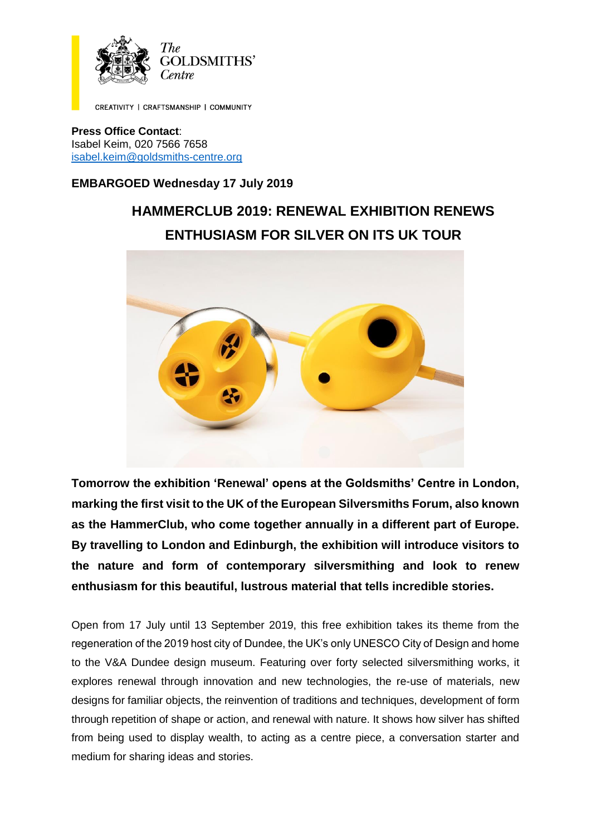

CREATIVITY | CRAFTSMANSHIP | COMMUNITY

**Press Office Contact**: Isabel Keim, 020 7566 7658 [isabel.keim@goldsmiths-centre.org](mailto:isabel.keim@goldsmiths-centre.org)

# **EMBARGOED Wednesday 17 July 2019**

# **HAMMERCLUB 2019: RENEWAL EXHIBITION RENEWS ENTHUSIASM FOR SILVER ON ITS UK TOUR**



**Tomorrow the exhibition 'Renewal' opens at the Goldsmiths' Centre in London, marking the first visit to the UK of the European Silversmiths Forum, also known as the HammerClub, who come together annually in a different part of Europe. By travelling to London and Edinburgh, the exhibition will introduce visitors to the nature and form of contemporary silversmithing and look to renew enthusiasm for this beautiful, lustrous material that tells incredible stories.** 

Open from 17 July until 13 September 2019, this free exhibition takes its theme from the regeneration of the 2019 host city of Dundee, the UK's only UNESCO City of Design and home to the V&A Dundee design museum. Featuring over forty selected silversmithing works, it explores renewal through innovation and new technologies, the re-use of materials, new designs for familiar objects, the reinvention of traditions and techniques, development of form through repetition of shape or action, and renewal with nature. It shows how silver has shifted from being used to display wealth, to acting as a centre piece, a conversation starter and medium for sharing ideas and stories.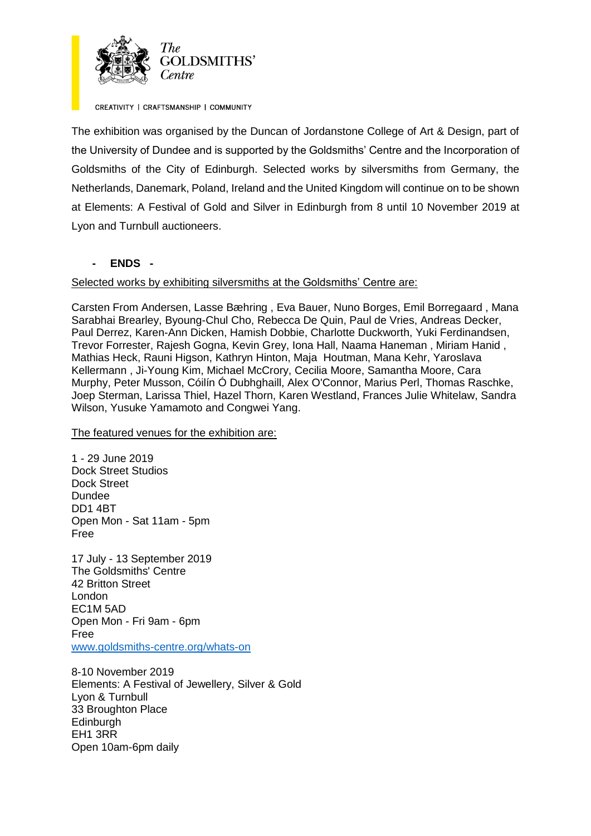

CREATIVITY | CRAFTSMANSHIP | COMMUNITY

The exhibition was organised by the Duncan of Jordanstone College of Art & Design, part of the University of Dundee and is supported by the Goldsmiths' Centre and the Incorporation of Goldsmiths of the City of Edinburgh. Selected works by silversmiths from Germany, the Netherlands, Danemark, Poland, Ireland and the United Kingdom will continue on to be shown at Elements: A Festival of Gold and Silver in Edinburgh from 8 until 10 November 2019 at Lyon and Turnbull auctioneers.

## **- ENDS -**

## Selected works by exhibiting silversmiths at the Goldsmiths' Centre are:

Carsten From Andersen, Lasse Bæhring , Eva Bauer, Nuno Borges, Emil Borregaard , Mana Sarabhai Brearley, Byoung-Chul Cho, Rebecca De Quin, Paul de Vries, Andreas Decker, Paul Derrez, Karen-Ann Dicken, Hamish Dobbie, Charlotte Duckworth, Yuki Ferdinandsen, Trevor Forrester, Rajesh Gogna, Kevin Grey, Iona Hall, Naama Haneman , Miriam Hanid , Mathias Heck, Rauni Higson, Kathryn Hinton, Maja Houtman, Mana Kehr, Yaroslava Kellermann , Ji-Young Kim, Michael McCrory, Cecilia Moore, Samantha Moore, Cara Murphy, Peter Musson, Cóilín Ó Dubhghaill, Alex O'Connor, Marius Perl, Thomas Raschke, Joep Sterman, Larissa Thiel, Hazel Thorn, Karen Westland, Frances Julie Whitelaw, Sandra Wilson, Yusuke Yamamoto and Congwei Yang.

## The featured venues for the exhibition are:

1 - 29 June 2019 Dock Street Studios Dock Street Dundee DD1 4BT Open Mon - Sat 11am - 5pm Free

17 July - 13 September 2019 The Goldsmiths' Centre 42 Britton Street London EC1M 5AD Open Mon - Fri 9am - 6pm Free [www.goldsmiths-centre.org/whats-on](http://www.goldsmiths-centre.org/whats-on)

8-10 November 2019 Elements: A Festival of Jewellery, Silver & Gold Lyon & Turnbull 33 Broughton Place Edinburgh EH1 3RR Open 10am-6pm daily